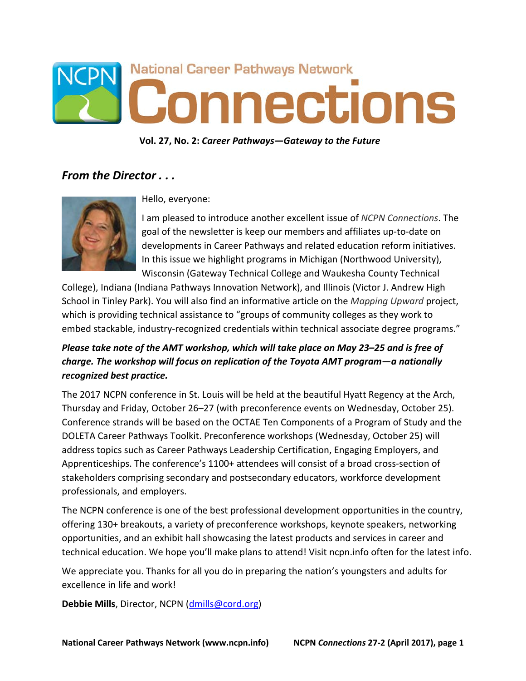

**Vol. 27, No. 2:** *Career Pathways—Gateway to the Future*

## *From the Director . . .*



Hello, everyone:

I am pleased to introduce another excellent issue of *NCPN Connections*. The goal of the newsletter is keep our members and affiliates up-to-date on developments in Career Pathways and related education reform initiatives. In this issue we highlight programs in Michigan (Northwood University), Wisconsin (Gateway Technical College and Waukesha County Technical

College), Indiana (Indiana Pathways Innovation Network), and Illinois (Victor J. Andrew High School in Tinley Park). You will also find an informative article on the *Mapping Upward* project, which is providing technical assistance to "groups of community colleges as they work to embed stackable, industry-recognized credentials within technical associate degree programs."

## *Please take note of the AMT workshop, which will take place on May 23–25 and is free of charge. The workshop will focus on replication of the Toyota AMT program—a nationally recognized best practice.*

The 2017 NCPN conference in St. Louis will be held at the beautiful Hyatt Regency at the Arch, Thursday and Friday, October 26–27 (with preconference events on Wednesday, October 25). Conference strands will be based on the OCTAE Ten Components of a Program of Study and the DOLETA Career Pathways Toolkit. Preconference workshops (Wednesday, October 25) will address topics such as Career Pathways Leadership Certification, Engaging Employers, and Apprenticeships. The conference's 1100+ attendees will consist of a broad cross-section of stakeholders comprising secondary and postsecondary educators, workforce development professionals, and employers.

The NCPN conference is one of the best professional development opportunities in the country, offering 130+ breakouts, a variety of preconference workshops, keynote speakers, networking opportunities, and an exhibit hall showcasing the latest products and services in career and technical education. We hope you'll make plans to attend! Visit ncpn.info often for the latest info.

We appreciate you. Thanks for all you do in preparing the nation's youngsters and adults for excellence in life and work!

**Debbie Mills**, Director, NCPN (*dmills@cord.org*)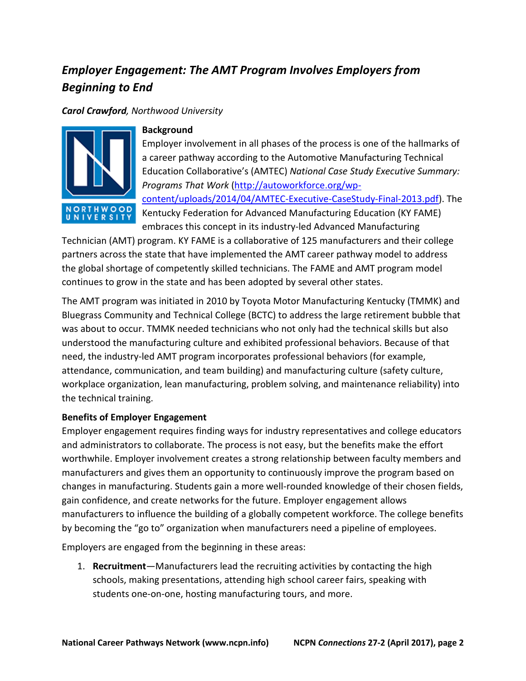# *Employer Engagement: The AMT Program Involves Employers from Beginning to End*

#### *Carol Crawford, Northwood University*



#### **Background**

Employer involvement in all phases of the process is one of the hallmarks of a career pathway according to the Automotive Manufacturing Technical Education Collaborative's (AMTEC) *National Case Study Executive Summary: Programs That Work* [\(http://autoworkforce.org/wp](http://autoworkforce.org/wp-content/uploads/2014/04/AMTEC-Executive-CaseStudy-Final-2013.pdf)[content/uploads/2014/04/AMTEC-Executive-CaseStudy-Final-2013.pdf\)](http://autoworkforce.org/wp-content/uploads/2014/04/AMTEC-Executive-CaseStudy-Final-2013.pdf). The Kentucky Federation for Advanced Manufacturing Education (KY FAME) embraces this concept in its industry-led Advanced Manufacturing

Technician (AMT) program. KY FAME is a collaborative of 125 manufacturers and their college partners across the state that have implemented the AMT career pathway model to address the global shortage of competently skilled technicians. The FAME and AMT program model continues to grow in the state and has been adopted by several other states.

The AMT program was initiated in 2010 by Toyota Motor Manufacturing Kentucky (TMMK) and Bluegrass Community and Technical College (BCTC) to address the large retirement bubble that was about to occur. TMMK needed technicians who not only had the technical skills but also understood the manufacturing culture and exhibited professional behaviors. Because of that need, the industry-led AMT program incorporates professional behaviors (for example, attendance, communication, and team building) and manufacturing culture (safety culture, workplace organization, lean manufacturing, problem solving, and maintenance reliability) into the technical training.

## **Benefits of Employer Engagement**

Employer engagement requires finding ways for industry representatives and college educators and administrators to collaborate. The process is not easy, but the benefits make the effort worthwhile. Employer involvement creates a strong relationship between faculty members and manufacturers and gives them an opportunity to continuously improve the program based on changes in manufacturing. Students gain a more well-rounded knowledge of their chosen fields, gain confidence, and create networks for the future. Employer engagement allows manufacturers to influence the building of a globally competent workforce. The college benefits by becoming the "go to" organization when manufacturers need a pipeline of employees.

Employers are engaged from the beginning in these areas:

1. **Recruitment**—Manufacturers lead the recruiting activities by contacting the high schools, making presentations, attending high school career fairs, speaking with students one-on-one, hosting manufacturing tours, and more.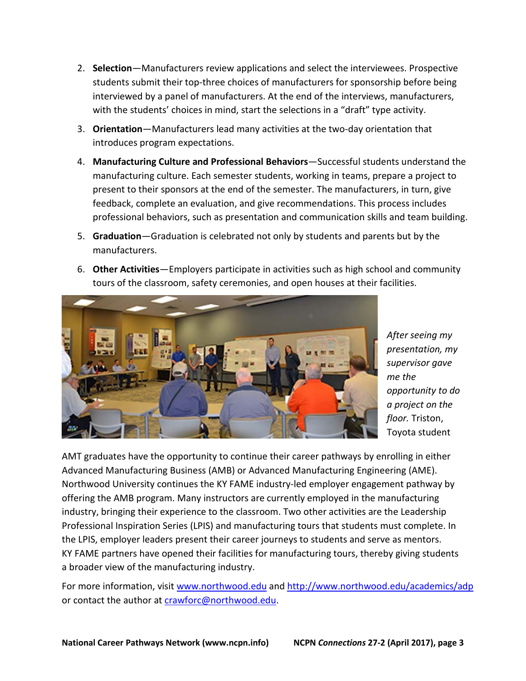- 2. **Selection**—Manufacturers review applications and select the interviewees. Prospective students submit their top-three choices of manufacturers for sponsorship before being interviewed by a panel of manufacturers. At the end of the interviews, manufacturers, with the students' choices in mind, start the selections in a "draft" type activity.
- 3. **Orientation**—Manufacturers lead many activities at the two-day orientation that introduces program expectations.
- 4. **Manufacturing Culture and Professional Behaviors**—Successful students understand the manufacturing culture. Each semester students, working in teams, prepare a project to present to their sponsors at the end of the semester. The manufacturers, in turn, give feedback, complete an evaluation, and give recommendations. This process includes professional behaviors, such as presentation and communication skills and team building.
- 5. **Graduation**—Graduation is celebrated not only by students and parents but by the manufacturers.
- 6. **Other Activities**—Employers participate in activities such as high school and community tours of the classroom, safety ceremonies, and open houses at their facilities.



*After seeing my presentation, my supervisor gave me the opportunity to do a project on the floor.* Triston, Toyota student

AMT graduates have the opportunity to continue their career pathways by enrolling in either Advanced Manufacturing Business (AMB) or Advanced Manufacturing Engineering (AME). Northwood University continues the KY FAME industry-led employer engagement pathway by offering the AMB program. Many instructors are currently employed in the manufacturing industry, bringing their experience to the classroom. Two other activities are the Leadership Professional Inspiration Series (LPIS) and manufacturing tours that students must complete. In the LPIS, employer leaders present their career journeys to students and serve as mentors. KY FAME partners have opened their facilities for manufacturing tours, thereby giving students a broader view of the manufacturing industry.

For more information, visit [www.northwood.edu](http://www.northwood.edu/) and <http://www.northwood.edu/academics/adp> or contact the author at [crawforc@northwood.edu.](mailto:crawforc@northwood.edu)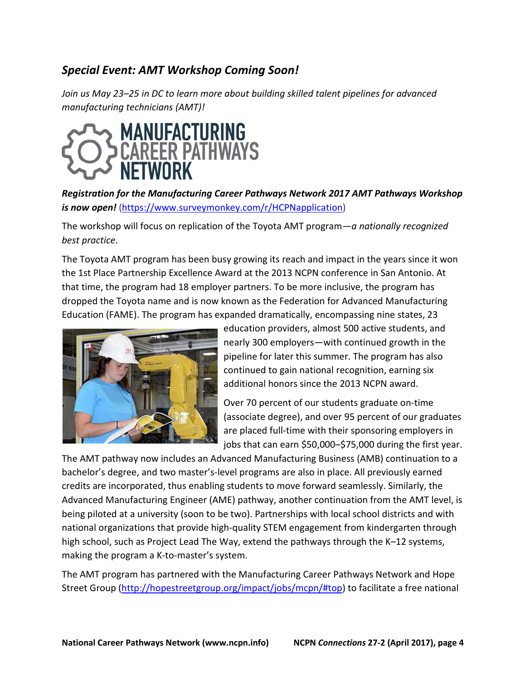# *Special Event: AMT Workshop Coming Soon!*

*Join us May 23–25 in DC to learn more about building skilled talent pipelines for advanced manufacturing technicians (AMT)!*



*[Registration for the Manufacturing Career Pathways Network 2017 AMT Pathways Workshop](https://www.surveymonkey.com/r/HCPNapplication)  [is now open!](https://www.surveymonkey.com/r/HCPNapplication)* [\(https://www.surveymonkey.com/r/HCPNapplication\)](https://www.surveymonkey.com/r/HCPNapplication)

The workshop will focus on replication of the Toyota AMT program—*a nationally recognized best practice*.

The Toyota AMT program has been busy growing its reach and impact in the years since it won the 1st Place Partnership Excellence Award at the 2013 NCPN conference in San Antonio. At that time, the program had 18 employer partners. To be more inclusive, the program has dropped the Toyota name and is now known as the Federation for Advanced Manufacturing Education (FAME). The program has expanded dramatically, encompassing nine states, 23



education providers, almost 500 active students, and nearly 300 employers—with continued growth in the pipeline for later this summer. The program has also continued to gain national recognition, earning six additional honors since the 2013 NCPN award.

Over 70 percent of our students graduate on-time (associate degree), and over 95 percent of our graduates are placed full-time with their sponsoring employers in jobs that can earn \$50,000–\$75,000 during the first year.

The AMT pathway now includes an Advanced Manufacturing Business (AMB) continuation to a bachelor's degree, and two master's-level programs are also in place. All previously earned credits are incorporated, thus enabling students to move forward seamlessly. Similarly, the Advanced Manufacturing Engineer (AME) pathway, another continuation from the AMT level, is being piloted at a university (soon to be two). Partnerships with local school districts and with national organizations that provide high-quality STEM engagement from kindergarten through high school, such as Project Lead The Way, extend the pathways through the K–12 systems, making the program a K-to-master's system.

The AMT program has partnered with the Manufacturing Career Pathways Network and Hope Street Group [\(http://hopestreetgroup.org/impact/jobs/mcpn/#top\)](http://hopestreetgroup.org/impact/jobs/mcpn/#top) to facilitate a free national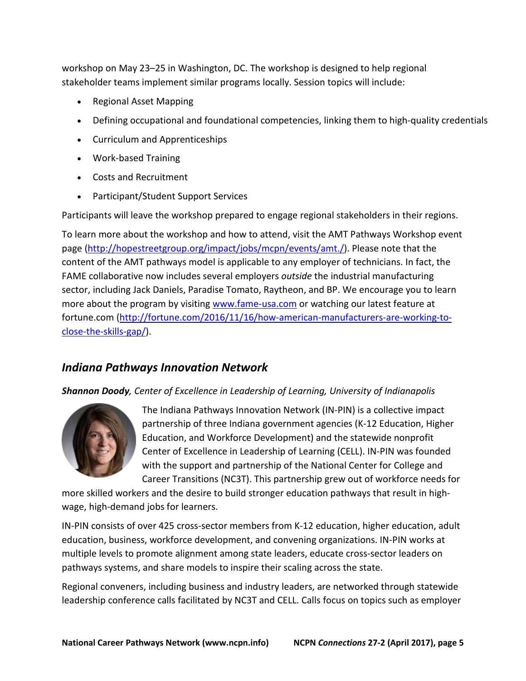workshop on May 23–25 in Washington, DC. The workshop is designed to help regional stakeholder teams implement similar programs locally. Session topics will include:

- Regional Asset Mapping
- Defining occupational and foundational competencies, linking them to high-quality credentials
- Curriculum and Apprenticeships
- Work-based Training
- Costs and Recruitment
- Participant/Student Support Services

Participants will leave the workshop prepared to engage regional stakeholders in their regions.

To learn more about the workshop and how to attend, visit the AMT Pathways Workshop event page [\(http://hopestreetgroup.org/impact/jobs/mcpn/events/amt./\)](http://hopestreetgroup.org/impact/jobs/mcpn/events/amt./). Please note that the content of the AMT pathways model is applicable to any employer of technicians. In fact, the FAME collaborative now includes several employers *outside* the industrial manufacturing sector, including Jack Daniels, Paradise Tomato, Raytheon, and BP. We encourage you to learn more about the program by visiting [www.fame-usa.com](http://www.fame-usa.com/) or watching our latest feature at fortune.com [\(http://fortune.com/2016/11/16/how-american-manufacturers-are-working-to](http://fortune.com/2016/11/16/how-american-manufacturers-are-working-to-close-the-skills-gap/)[close-the-skills-gap/\)](http://fortune.com/2016/11/16/how-american-manufacturers-are-working-to-close-the-skills-gap/).

## *Indiana Pathways Innovation Network*

## *Shannon Doody, Center of Excellence in Leadership of Learning, University of Indianapolis*



The Indiana Pathways Innovation Network (IN-PIN) is a collective impact partnership of three Indiana government agencies (K-12 Education, Higher Education, and Workforce Development) and the statewide nonprofit Center of Excellence in Leadership of Learning (CELL). IN-PIN was founded with the support and partnership of the National Center for College and Career Transitions (NC3T). This partnership grew out of workforce needs for

more skilled workers and the desire to build stronger education pathways that result in highwage, high-demand jobs for learners.

IN-PIN consists of over 425 cross-sector members from K-12 education, higher education, adult education, business, workforce development, and convening organizations. IN-PIN works at multiple levels to promote alignment among state leaders, educate cross-sector leaders on pathways systems, and share models to inspire their scaling across the state.

Regional conveners, including business and industry leaders, are networked through statewide leadership conference calls facilitated by NC3T and CELL. Calls focus on topics such as employer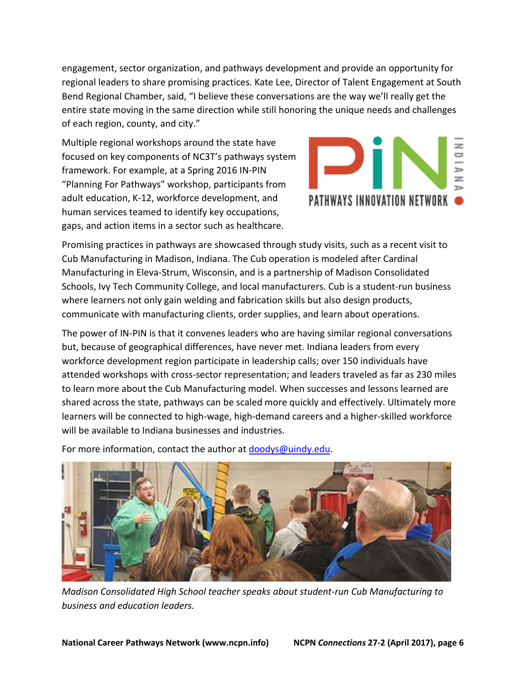engagement, sector organization, and pathways development and provide an opportunity for regional leaders to share promising practices. Kate Lee, Director of Talent Engagement at South Bend Regional Chamber, said, "I believe these conversations are the way we'll really get the entire state moving in the same direction while still honoring the unique needs and challenges of each region, county, and city."

Multiple regional workshops around the state have focused on key components of NC3T's pathways system framework. For example, at a Spring 2016 IN-PIN "Planning For Pathways" workshop, participants from adult education, K-12, workforce development, and human services teamed to identify key occupations, gaps, and action items in a sector such as healthcare.



Promising practices in pathways are showcased through study visits, such as a recent visit to Cub Manufacturing in Madison, Indiana. The Cub operation is modeled after Cardinal Manufacturing in Eleva-Strum, Wisconsin, and is a partnership of Madison Consolidated Schools, Ivy Tech Community College, and local manufacturers. Cub is a student-run business where learners not only gain welding and fabrication skills but also design products, communicate with manufacturing clients, order supplies, and learn about operations.

The power of IN-PIN is that it convenes leaders who are having similar regional conversations but, because of geographical differences, have never met. Indiana leaders from every workforce development region participate in leadership calls; over 150 individuals have attended workshops with cross-sector representation; and leaders traveled as far as 230 miles to learn more about the Cub Manufacturing model. When successes and lessons learned are shared across the state, pathways can be scaled more quickly and effectively. Ultimately more learners will be connected to high-wage, high-demand careers and a higher-skilled workforce will be available to Indiana businesses and industries.

For more information, contact the author at [doodys@uindy.edu.](mailto:doodys@uindy.edu)



*Madison Consolidated High School teacher speaks about student-run Cub Manufacturing to business and education leaders.*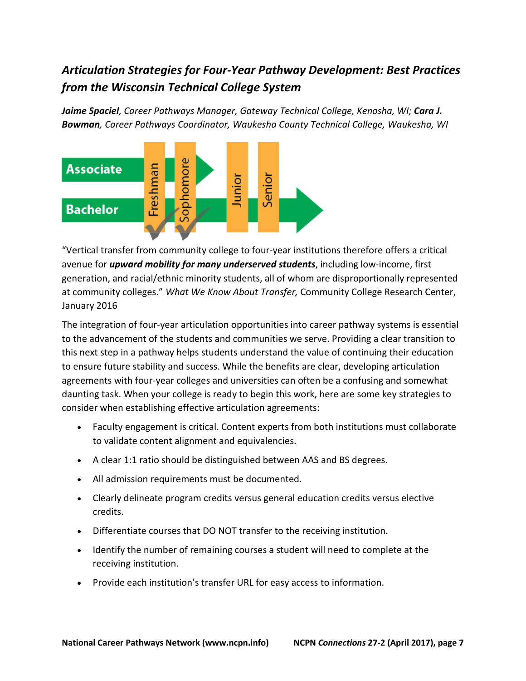# *Articulation Strategies for Four-Year Pathway Development: Best Practices from the Wisconsin Technical College System*

*Jaime Spaciel, Career Pathways Manager, Gateway Technical College, Kenosha, WI; Cara J. Bowman, Career Pathways Coordinator, Waukesha County Technical College, Waukesha, WI*



"Vertical transfer from community college to four-year institutions therefore offers a critical avenue for *upward mobility for many underserved students*, including low-income, first generation, and racial/ethnic minority students, all of whom are disproportionally represented at community colleges." *What We Know About Transfer,* Community College Research Center, January 2016

The integration of four-year articulation opportunities into career pathway systems is essential to the advancement of the students and communities we serve. Providing a clear transition to this next step in a pathway helps students understand the value of continuing their education to ensure future stability and success. While the benefits are clear, developing articulation agreements with four-year colleges and universities can often be a confusing and somewhat daunting task. When your college is ready to begin this work, here are some key strategies to consider when establishing effective articulation agreements:

- Faculty engagement is critical. Content experts from both institutions must collaborate to validate content alignment and equivalencies.
- A clear 1:1 ratio should be distinguished between AAS and BS degrees.
- All admission requirements must be documented.
- Clearly delineate program credits versus general education credits versus elective credits.
- Differentiate courses that DO NOT transfer to the receiving institution.
- Identify the number of remaining courses a student will need to complete at the receiving institution.
- Provide each institution's transfer URL for easy access to information.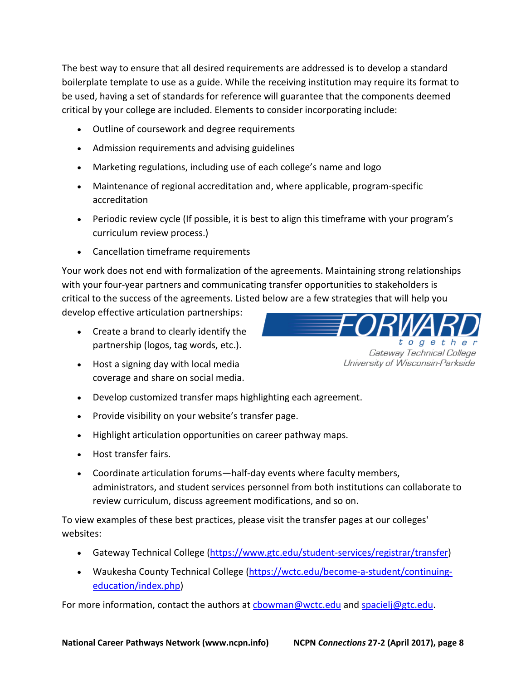The best way to ensure that all desired requirements are addressed is to develop a standard boilerplate template to use as a guide. While the receiving institution may require its format to be used, having a set of standards for reference will guarantee that the components deemed critical by your college are included. Elements to consider incorporating include:

- Outline of coursework and degree requirements
- Admission requirements and advising guidelines
- Marketing regulations, including use of each college's name and logo
- Maintenance of regional accreditation and, where applicable, program-specific accreditation
- Periodic review cycle (If possible, it is best to align this timeframe with your program's curriculum review process.)
- Cancellation timeframe requirements

Your work does not end with formalization of the agreements. Maintaining strong relationships with your four-year partners and communicating transfer opportunities to stakeholders is critical to the success of the agreements. Listed below are a few strategies that will help you

develop effective articulation partnerships:

- Create a brand to clearly identify the partnership (logos, tag words, etc.).
- Host a signing day with local media coverage and share on social media.
- Develop customized transfer maps highlighting each agreement.
- Provide visibility on your website's transfer page.
- Highlight articulation opportunities on career pathway maps.
- Host transfer fairs.
- Coordinate articulation forums—half-day events where faculty members, administrators, and student services personnel from both institutions can collaborate to review curriculum, discuss agreement modifications, and so on.

To view examples of these best practices, please visit the transfer pages at our colleges' websites:

- Gateway Technical College [\(https://www.gtc.edu/student-services/registrar/transfer\)](https://www.gtc.edu/student-services/registrar/transfer)
- Waukesha County Technical College [\(https://wctc.edu/become-a-student/continuing](https://wctc.edu/become-a-student/continuing-education/index.php)[education/index.php\)](https://wctc.edu/become-a-student/continuing-education/index.php)

For more information, contact the authors at [cbowman@wctc.edu](mailto:cbowman@wctc.edu) and [spacielj@gtc.edu.](mailto:spacielj@gtc.edu)

together Gateway Technical College University of Wisconsin-Parkside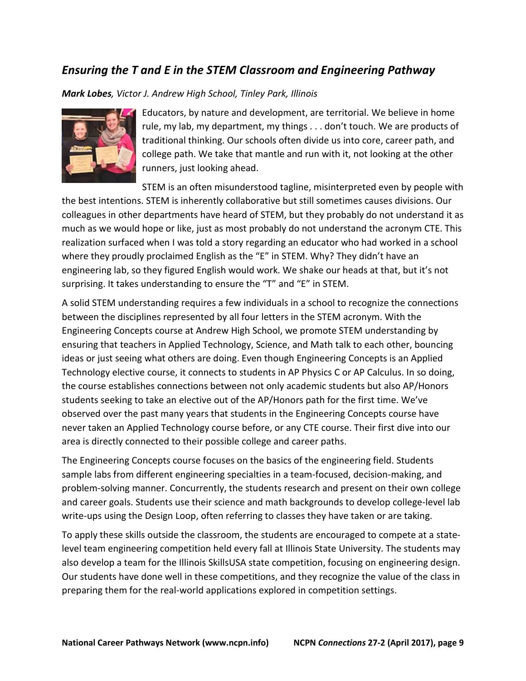## *Ensuring the T and E in the STEM Classroom and Engineering Pathway*

#### *Mark Lobes, Victor J. Andrew High School, Tinley Park, Illinois*



Educators, by nature and development, are territorial. We believe in home rule, my lab, my department, my things . . . don't touch. We are products of traditional thinking. Our schools often divide us into core, career path, and college path. We take that mantle and run with it, not looking at the other runners, just looking ahead.

STEM is an often misunderstood tagline, misinterpreted even by people with the best intentions. STEM is inherently collaborative but still sometimes causes divisions. Our colleagues in other departments have heard of STEM, but they probably do not understand it as much as we would hope or like, just as most probably do not understand the acronym CTE. This realization surfaced when I was told a story regarding an educator who had worked in a school where they proudly proclaimed English as the "E" in STEM. Why? They didn't have an engineering lab, so they figured English would work. We shake our heads at that, but it's not surprising. It takes understanding to ensure the "T" and "E" in STEM.

A solid STEM understanding requires a few individuals in a school to recognize the connections between the disciplines represented by all four letters in the STEM acronym. With the Engineering Concepts course at Andrew High School, we promote STEM understanding by ensuring that teachers in Applied Technology, Science, and Math talk to each other, bouncing ideas or just seeing what others are doing. Even though Engineering Concepts is an Applied Technology elective course, it connects to students in AP Physics C or AP Calculus. In so doing, the course establishes connections between not only academic students but also AP/Honors students seeking to take an elective out of the AP/Honors path for the first time. We've observed over the past many years that students in the Engineering Concepts course have never taken an Applied Technology course before, or any CTE course. Their first dive into our area is directly connected to their possible college and career paths.

The Engineering Concepts course focuses on the basics of the engineering field. Students sample labs from different engineering specialties in a team-focused, decision-making, and problem-solving manner. Concurrently, the students research and present on their own college and career goals. Students use their science and math backgrounds to develop college-level lab write-ups using the Design Loop, often referring to classes they have taken or are taking.

To apply these skills outside the classroom, the students are encouraged to compete at a statelevel team engineering competition held every fall at Illinois State University. The students may also develop a team for the Illinois SkillsUSA state competition, focusing on engineering design. Our students have done well in these competitions, and they recognize the value of the class in preparing them for the real-world applications explored in competition settings.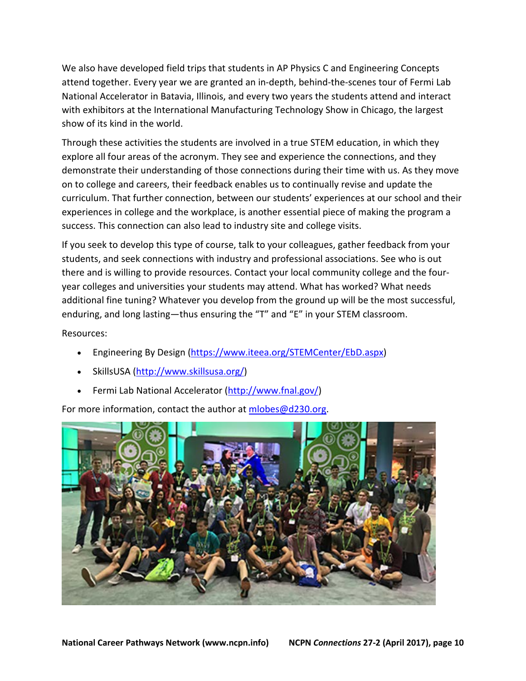We also have developed field trips that students in AP Physics C and Engineering Concepts attend together. Every year we are granted an in-depth, behind-the-scenes tour of Fermi Lab National Accelerator in Batavia, Illinois, and every two years the students attend and interact with exhibitors at the International Manufacturing Technology Show in Chicago, the largest show of its kind in the world.

Through these activities the students are involved in a true STEM education, in which they explore all four areas of the acronym. They see and experience the connections, and they demonstrate their understanding of those connections during their time with us. As they move on to college and careers, their feedback enables us to continually revise and update the curriculum. That further connection, between our students' experiences at our school and their experiences in college and the workplace, is another essential piece of making the program a success. This connection can also lead to industry site and college visits.

If you seek to develop this type of course, talk to your colleagues, gather feedback from your students, and seek connections with industry and professional associations. See who is out there and is willing to provide resources. Contact your local community college and the fouryear colleges and universities your students may attend. What has worked? What needs additional fine tuning? Whatever you develop from the ground up will be the most successful, enduring, and long lasting—thus ensuring the "T" and "E" in your STEM classroom.

Resources:

- Engineering By Design [\(https://www.iteea.org/STEMCenter/EbD.aspx\)](https://www.iteea.org/STEMCenter/EbD.aspx)
- SkillsUSA [\(http://www.skillsusa.org/\)](http://www.skillsusa.org/)
- Fermi Lab National Accelerator [\(http://www.fnal.gov/\)](http://www.fnal.gov/)

For more information, contact the author at [mlobes@d230.org.](mailto:mlobes@d230.org)

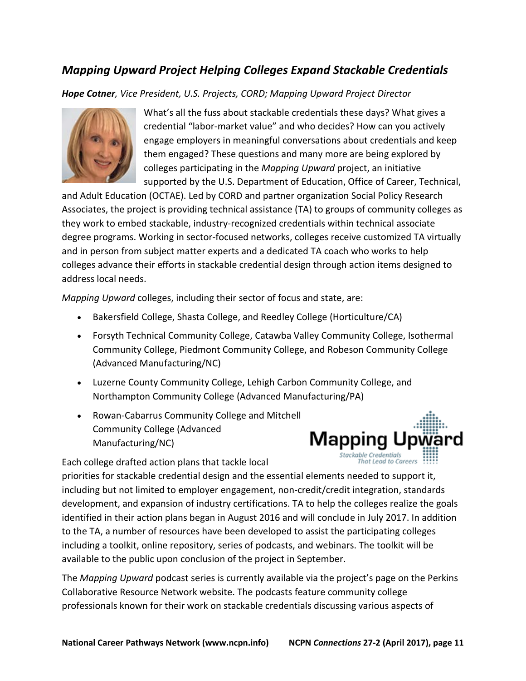# *Mapping Upward Project Helping Colleges Expand Stackable Credentials*

*Hope Cotner, Vice President, U.S. Projects, CORD; Mapping Upward Project Director*



What's all the fuss about stackable credentials these days? What gives a credential "labor-market value" and who decides? How can you actively engage employers in meaningful conversations about credentials and keep them engaged? These questions and many more are being explored by colleges participating in the *Mapping Upward* project, an initiative supported by the U.S. Department of Education, Office of Career, Technical,

and Adult Education (OCTAE). Led by CORD and partner organization Social Policy Research Associates, the project is providing technical assistance (TA) to groups of community colleges as they work to embed stackable, industry-recognized credentials within technical associate degree programs. Working in sector-focused networks, colleges receive customized TA virtually and in person from subject matter experts and a dedicated TA coach who works to help colleges advance their efforts in stackable credential design through action items designed to address local needs.

*Mapping Upward* colleges, including their sector of focus and state, are:

- Bakersfield College, Shasta College, and Reedley College (Horticulture/CA)
- Forsyth Technical Community College, Catawba Valley Community College, Isothermal Community College, Piedmont Community College, and Robeson Community College (Advanced Manufacturing/NC)
- Luzerne County Community College, Lehigh Carbon Community College, and Northampton Community College (Advanced Manufacturing/PA)
- Rowan-Cabarrus Community College and Mitchell Community College (Advanced Manufacturing/NC)



Each college drafted action plans that tackle local

priorities for stackable credential design and the essential elements needed to support it, including but not limited to employer engagement, non-credit/credit integration, standards development, and expansion of industry certifications. TA to help the colleges realize the goals identified in their action plans began in August 2016 and will conclude in July 2017. In addition to the TA, a number of resources have been developed to assist the participating colleges including a toolkit, online repository, series of podcasts, and webinars. The toolkit will be available to the public upon conclusion of the project in September.

The *Mapping Upward* podcast series is currently available via the project's page on the Perkins Collaborative Resource Network website. The podcasts feature community college professionals known for their work on stackable credentials discussing various aspects of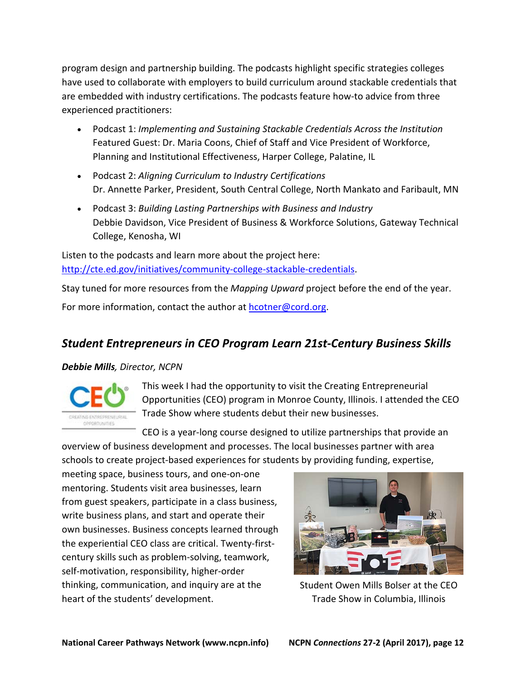program design and partnership building. The podcasts highlight specific strategies colleges have used to collaborate with employers to build curriculum around stackable credentials that are embedded with industry certifications. The podcasts feature how-to advice from three experienced practitioners:

- Podcast 1: *Implementing and Sustaining Stackable Credentials Across the Institution* Featured Guest: Dr. Maria Coons, Chief of Staff and Vice President of Workforce, Planning and Institutional Effectiveness, Harper College, Palatine, IL
- Podcast 2: *Aligning Curriculum to Industry Certifications* Dr. Annette Parker, President, South Central College, North Mankato and Faribault, MN
- Podcast 3: *Building Lasting Partnerships with Business and Industry* Debbie Davidson, Vice President of Business & Workforce Solutions, Gateway Technical College, Kenosha, WI

Listen to the podcasts and learn more about the project here: [http://cte.ed.gov/initiatives/community-college-stackable-credentials.](http://cte.ed.gov/initiatives/community-college-stackable-credentials)

Stay tuned for more resources from the *Mapping Upward* project before the end of the year. For more information, contact the author at [hcotner@cord.org.](mailto:hcotner@cord.org)

# *Student Entrepreneurs in CEO Program Learn 21st-Century Business Skills*

## *Debbie Mills, Director, NCPN*



This week I had the opportunity to visit the Creating Entrepreneurial Opportunities (CEO) program in Monroe County, Illinois. I attended the CEO Trade Show where students debut their new businesses.

CEO is a year-long course designed to utilize partnerships that provide an overview of business development and processes. The local businesses partner with area schools to create project-based experiences for students by providing funding, expertise,

meeting space, business tours, and one-on-one mentoring. Students visit area businesses, learn from guest speakers, participate in a class business, write business plans, and start and operate their own businesses. Business concepts learned through the experiential CEO class are critical. Twenty-firstcentury skills such as problem-solving, teamwork, self-motivation, responsibility, higher-order thinking, communication, and inquiry are at the heart of the students' development.



Student Owen Mills Bolser at the CEO Trade Show in Columbia, Illinois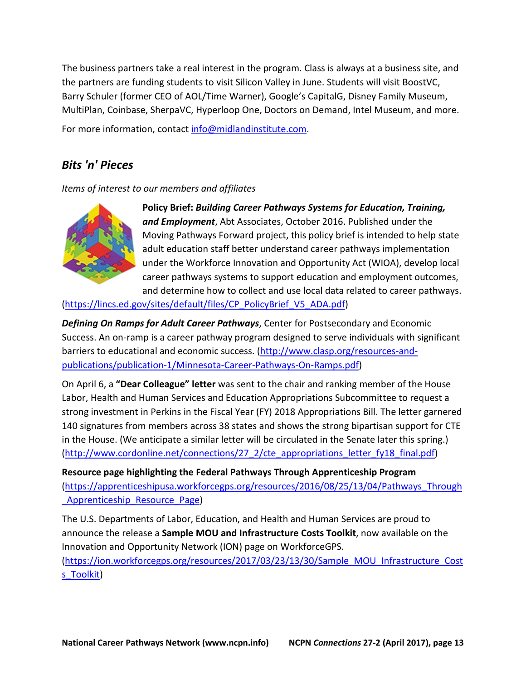The business partners take a real interest in the program. Class is always at a business site, and the partners are funding students to visit Silicon Valley in June. Students will visit BoostVC, Barry Schuler (former CEO of AOL/Time Warner), Google's CapitalG, Disney Family Museum, MultiPlan, Coinbase, SherpaVC, Hyperloop One, Doctors on Demand, Intel Museum, and more.

For more information, contact [info@midlandinstitute.com.](mailto:info@midlandinstitute.com)

## *Bits 'n' Pieces*

*Items of interest to our members and affiliates*



**Policy Brief:** *Building Career Pathways Systems for Education, Training, and Employment*, Abt Associates, October 2016. Published under the Moving Pathways Forward project, this policy brief is intended to help state adult education staff better understand career pathways implementation under the Workforce Innovation and Opportunity Act (WIOA), develop local career pathways systems to support education and employment outcomes, and determine how to collect and use local data related to career pathways.

[\(https://lincs.ed.gov/sites/default/files/CP\\_PolicyBrief\\_V5\\_ADA.pdf\)](https://lincs.ed.gov/sites/default/files/CP_PolicyBrief_V5_ADA.pdf)

*Defining On Ramps for Adult Career Pathways*, Center for Postsecondary and Economic Success. An on-ramp is a career pathway program designed to serve individuals with significant barriers to educational and economic success. [\(http://www.clasp.org/resources-and](http://www.clasp.org/resources-and-publications/publication-1/Minnesota-Career-Pathways-On-Ramps.pdf)[publications/publication-1/Minnesota-Career-Pathways-On-Ramps.pdf\)](http://www.clasp.org/resources-and-publications/publication-1/Minnesota-Career-Pathways-On-Ramps.pdf)

On April 6, a **"Dear Colleague" letter** was sent to the chair and ranking member of the House Labor, Health and Human Services and Education Appropriations Subcommittee to request a strong investment in Perkins in the Fiscal Year (FY) 2018 Appropriations Bill. The letter garnered 140 signatures from members across 38 states and shows the strong bipartisan support for CTE in the House. (We anticipate a similar letter will be circulated in the Senate later this spring.) (http://www.cordonline.net/connections/27 2/cte\_appropriations\_letter\_fy18\_final.pdf)

**Resource page highlighting the Federal Pathways Through Apprenticeship Program** [\(https://apprenticeshipusa.workforcegps.org/resources/2016/08/25/13/04/Pathways\\_Through](https://apprenticeshipusa.workforcegps.org/resources/2016/08/25/13/04/Pathways_Through_Apprenticeship_Resource_Page) Apprenticeship Resource Page)

The U.S. Departments of Labor, Education, and Health and Human Services are proud to announce the release a **[Sample MOU and Infrastructure Costs Toolkit](https://ion.workforcegps.org/resources/2017/03/23/13/30/Sample_MOU_Infrastructure_Costs_Toolkit)**, now available on the Innovation and Opportunity Network (ION) page on WorkforceGPS.

[\(https://ion.workforcegps.org/resources/2017/03/23/13/30/Sample\\_MOU\\_Infrastructure\\_Cost](https://ion.workforcegps.org/resources/2017/03/23/13/30/Sample_MOU_Infrastructure_Costs_Toolkit) s Toolkit)